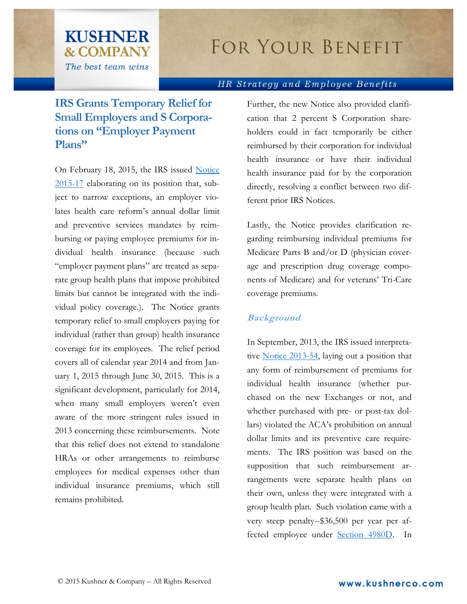# **FOR YOUR BENEFIT**

#### HR Strategy and Employee Benefits

## **IRS Grants Temporary Relief for Small Employers and S Corporations on "Employer Payment Plans"**

**KUSHNER** 

**& COMPANY** 

The best team wins

On February 18, 2015, the IRS issued [Notice](http://www.irs.gov/pub/irs-drop/n-15-17.pdf) [2015-17](http://www.irs.gov/pub/irs-drop/n-15-17.pdf) elaborating on its position that, subject to narrow exceptions, an employer violates health care reform's annual dollar limit and preventive services mandates by reimbursing or paying employee premiums for individual health insurance (because such "employer payment plans" are treated as separate group health plans that impose prohibited limits but cannot be integrated with the individual policy coverage.). The Notice grants temporary relief to small employers paying for individual (rather than group) health insurance coverage for its employees. The relief period covers all of calendar year 2014 and from January 1, 2015 through June 30, 2015. This is a significant development, particularly for 2014, when many small employers weren't even aware of the more stringent rules issued in 2013 concerning these reimbursements. Note that this relief does not extend to standalone HRAs or other arrangements to reimburse employees for medical expenses other than individual insurance premiums, which still remains prohibited.

Further, the new Notice also provided clarification that 2 percent S Corporation shareholders could in fact temporarily be either reimbursed by their corporation for individual health insurance or have their individual health insurance paid for by the corporation directly, resolving a conflict between two different prior IRS Notices.

Lastly, the Notice provides clarification regarding reimbursing individual premiums for Medicare Parts B and/or D (physician coverage and prescription drug coverage components of Medicare) and for veterans' Tri-Care coverage premiums.

#### **Background**

In September, 2013, the IRS issued interpretative [Notice 2013-54,](http://www.irs.gov/pub/irs-drop/n-13-54.pdf) laying out a position that any form of reimbursement of premiums for individual health insurance (whether purchased on the new Exchanges or not, and whether purchased with pre- or post-tax dollars) violated the ACA's prohibition on annual dollar limits and its preventive care requirements. The IRS position was based on the supposition that such reimbursement arrangements were separate health plans on their own, unless they were integrated with a group health plan. Such violation came with a very steep penalty--\$36,500 per year per affected employee under [Section 4980D.](http://www.gpo.gov/fdsys/pkg/USCODE-2011-title26/pdf/USCODE-2011-title26-subtitleD-chap43-sec4980D.pdf) In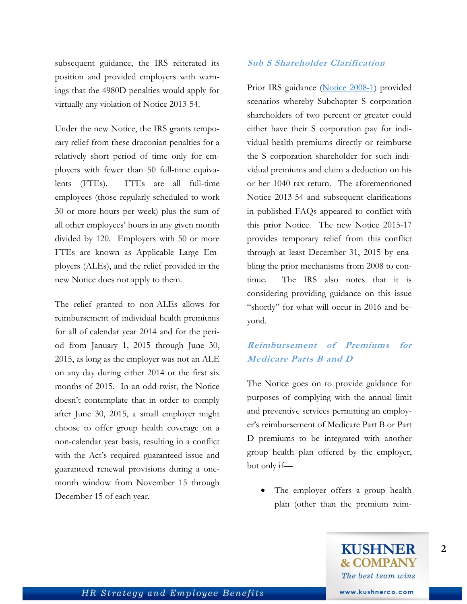subsequent guidance, the IRS reiterated its position and provided employers with warnings that the 4980D penalties would apply for virtually any violation of Notice 2013-54.

Under the new Notice, the IRS grants temporary relief from these draconian penalties for a relatively short period of time only for employers with fewer than 50 full-time equivalents (FTEs). FTEs are all full-time employees (those regularly scheduled to work 30 or more hours per week) plus the sum of all other employees' hours in any given month divided by 120. Employers with 50 or more FTEs are known as Applicable Large Employers (ALEs), and the relief provided in the new Notice does not apply to them.

The relief granted to non-ALEs allows for reimbursement of individual health premiums for all of calendar year 2014 and for the period from January 1, 2015 through June 30, 2015, as long as the employer was not an ALE on any day during either 2014 or the first six months of 2015. In an odd twist, the Notice doesn't contemplate that in order to comply after June 30, 2015, a small employer might choose to offer group health coverage on a non-calendar year basis, resulting in a conflict with the Act's required guaranteed issue and guaranteed renewal provisions during a onemonth window from November 15 through December 15 of each year.

#### **Sub S Shareholder Clarification**

Prior IRS guidance [\(Notice 2008-1\)](http://www.irs.gov/irb/2008-02_IRB/ar10.html) provided scenarios whereby Subchapter S corporation shareholders of two percent or greater could either have their S corporation pay for individual health premiums directly or reimburse the S corporation shareholder for such individual premiums and claim a deduction on his or her 1040 tax return. The aforementioned Notice 2013-54 and subsequent clarifications in published FAQs appeared to conflict with this prior Notice. The new Notice 2015-17 provides temporary relief from this conflict through at least December 31, 2015 by enabling the prior mechanisms from 2008 to continue. The IRS also notes that it is considering providing guidance on this issue "shortly" for what will occur in 2016 and beyond.

### **Reimbursement of Premiums for Medicare Parts B and D**

The Notice goes on to provide guidance for purposes of complying with the annual limit and preventive services permitting an employer's reimbursement of Medicare Part B or Part D premiums to be integrated with another group health plan offered by the employer, but only if—

 The employer offers a group health plan (other than the premium reim-

**2**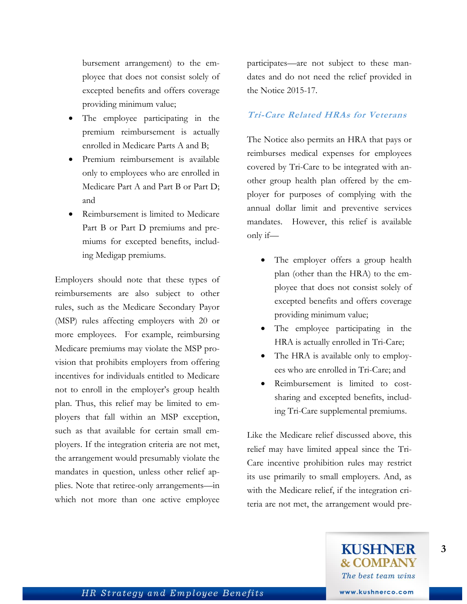bursement arrangement) to the employee that does not consist solely of excepted benefits and offers coverage providing minimum value;

- The employee participating in the premium reimbursement is actually enrolled in Medicare Parts A and B;
- Premium reimbursement is available only to employees who are enrolled in Medicare Part A and Part B or Part D; and
- Reimbursement is limited to Medicare Part B or Part D premiums and premiums for excepted benefits, including Medigap premiums.

Employers should note that these types of reimbursements are also subject to other rules, such as the Medicare Secondary Payor (MSP) rules affecting employers with 20 or more employees. For example, reimbursing Medicare premiums may violate the MSP provision that prohibits employers from offering incentives for individuals entitled to Medicare not to enroll in the employer's group health plan. Thus, this relief may be limited to employers that fall within an MSP exception, such as that available for certain small employers. If the integration criteria are not met, the arrangement would presumably violate the mandates in question, unless other relief applies. Note that retiree-only arrangements—in which not more than one active employee

participates—are not subject to these mandates and do not need the relief provided in the Notice 2015-17.

#### **Tri-Care Related HRAs for Veterans**

The Notice also permits an HRA that pays or reimburses medical expenses for employees covered by Tri-Care to be integrated with another group health plan offered by the employer for purposes of complying with the annual dollar limit and preventive services mandates. However, this relief is available only if—

- The employer offers a group health plan (other than the HRA) to the employee that does not consist solely of excepted benefits and offers coverage providing minimum value;
- The employee participating in the HRA is actually enrolled in Tri-Care;
- The HRA is available only to employees who are enrolled in Tri-Care; and
- Reimbursement is limited to costsharing and excepted benefits, including Tri-Care supplemental premiums.

Like the Medicare relief discussed above, this relief may have limited appeal since the Tri-Care incentive prohibition rules may restrict its use primarily to small employers. And, as with the Medicare relief, if the integration criteria are not met, the arrangement would pre-

**3**